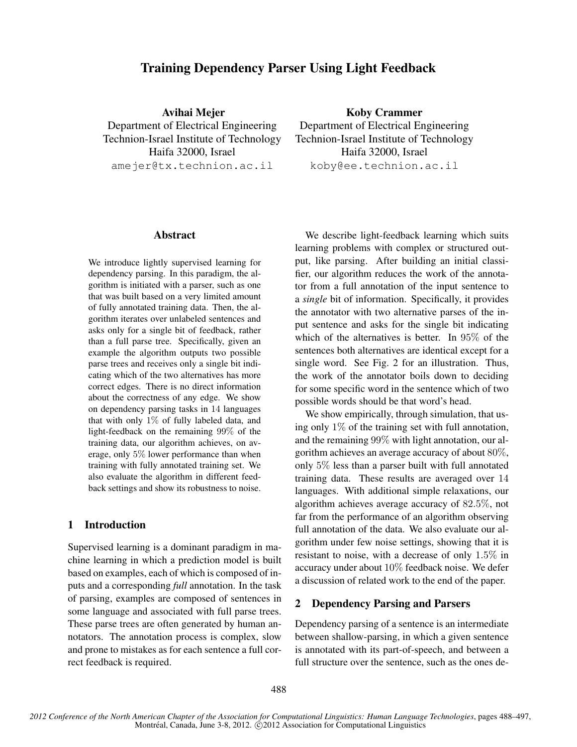# Training Dependency Parser Using Light Feedback

Avihai Mejer Department of Electrical Engineering Technion-Israel Institute of Technology Haifa 32000, Israel amejer@tx.technion.ac.il

Abstract

We introduce lightly supervised learning for dependency parsing. In this paradigm, the algorithm is initiated with a parser, such as one that was built based on a very limited amount of fully annotated training data. Then, the algorithm iterates over unlabeled sentences and asks only for a single bit of feedback, rather than a full parse tree. Specifically, given an example the algorithm outputs two possible parse trees and receives only a single bit indicating which of the two alternatives has more correct edges. There is no direct information about the correctness of any edge. We show on dependency parsing tasks in 14 languages that with only  $1\%$  of fully labeled data, and light-feedback on the remaining 99% of the training data, our algorithm achieves, on average, only 5% lower performance than when training with fully annotated training set. We also evaluate the algorithm in different feedback settings and show its robustness to noise.

# 1 Introduction

Supervised learning is a dominant paradigm in machine learning in which a prediction model is built based on examples, each of which is composed of inputs and a corresponding *full* annotation. In the task of parsing, examples are composed of sentences in some language and associated with full parse trees. These parse trees are often generated by human annotators. The annotation process is complex, slow and prone to mistakes as for each sentence a full correct feedback is required.

Koby Crammer Department of Electrical Engineering Technion-Israel Institute of Technology Haifa 32000, Israel koby@ee.technion.ac.il

We describe light-feedback learning which suits learning problems with complex or structured output, like parsing. After building an initial classifier, our algorithm reduces the work of the annotator from a full annotation of the input sentence to a *single* bit of information. Specifically, it provides the annotator with two alternative parses of the input sentence and asks for the single bit indicating which of the alternatives is better. In 95% of the sentences both alternatives are identical except for a single word. See Fig. 2 for an illustration. Thus, the work of the annotator boils down to deciding for some specific word in the sentence which of two possible words should be that word's head.

We show empirically, through simulation, that using only 1% of the training set with full annotation, and the remaining 99% with light annotation, our algorithm achieves an average accuracy of about 80%, only 5% less than a parser built with full annotated training data. These results are averaged over 14 languages. With additional simple relaxations, our algorithm achieves average accuracy of 82.5%, not far from the performance of an algorithm observing full annotation of the data. We also evaluate our algorithm under few noise settings, showing that it is resistant to noise, with a decrease of only 1.5% in accuracy under about 10% feedback noise. We defer a discussion of related work to the end of the paper.

# 2 Dependency Parsing and Parsers

Dependency parsing of a sentence is an intermediate between shallow-parsing, in which a given sentence is annotated with its part-of-speech, and between a full structure over the sentence, such as the ones de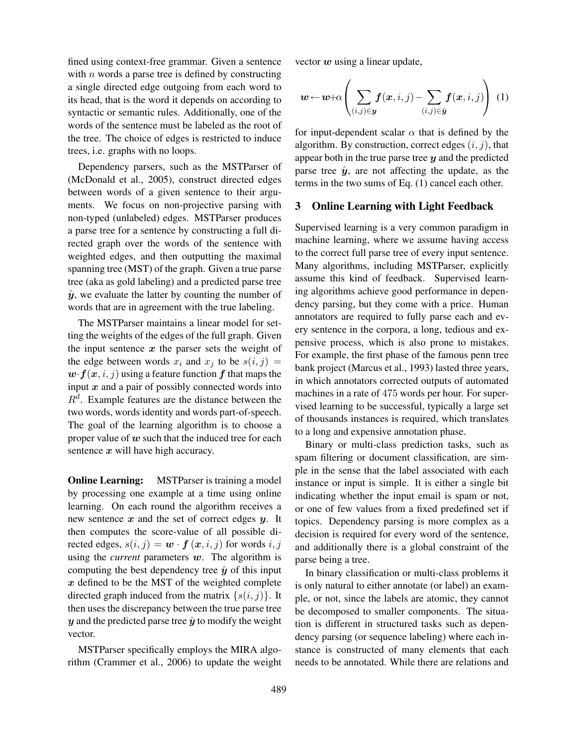fined using context-free grammar. Given a sentence with  $n$  words a parse tree is defined by constructing a single directed edge outgoing from each word to its head, that is the word it depends on according to syntactic or semantic rules. Additionally, one of the words of the sentence must be labeled as the root of the tree. The choice of edges is restricted to induce trees, i.e. graphs with no loops.

Dependency parsers, such as the MSTParser of (McDonald et al., 2005), construct directed edges between words of a given sentence to their arguments. We focus on non-projective parsing with non-typed (unlabeled) edges. MSTParser produces a parse tree for a sentence by constructing a full directed graph over the words of the sentence with weighted edges, and then outputting the maximal spanning tree (MST) of the graph. Given a true parse tree (aka as gold labeling) and a predicted parse tree  $\hat{y}$ , we evaluate the latter by counting the number of words that are in agreement with the true labeling.

The MSTParser maintains a linear model for setting the weights of the edges of the full graph. Given the input sentence  $x$  the parser sets the weight of the edge between words  $x_i$  and  $x_j$  to be  $s(i, j)$  =  $w \cdot f(x, i, j)$  using a feature function f that maps the input  $x$  and a pair of possibly connected words into  $R<sup>d</sup>$ . Example features are the distance between the two words, words identity and words part-of-speech. The goal of the learning algorithm is to choose a proper value of  $w$  such that the induced tree for each sentence  $x$  will have high accuracy.

**Online Learning:** MSTParser is training a model by processing one example at a time using online learning. On each round the algorithm receives a new sentence  $x$  and the set of correct edges  $y$ . It then computes the score-value of all possible directed edges,  $s(i, j) = \mathbf{w} \cdot \mathbf{f}(\mathbf{x}, i, j)$  for words  $i, j$ using the *current* parameters  $w$ . The algorithm is computing the best dependency tree  $\hat{y}$  of this input  $x$  defined to be the MST of the weighted complete directed graph induced from the matrix  $\{s(i, j)\}\$ . It then uses the discrepancy between the true parse tree y and the predicted parse tree  $\hat{y}$  to modify the weight vector.

MSTParser specifically employs the MIRA algorithm (Crammer et al., 2006) to update the weight vector  $w$  using a linear update,

$$
\boldsymbol{w} \leftarrow \boldsymbol{w} + \alpha \left( \sum_{(i,j) \in \boldsymbol{y}} \boldsymbol{f}(\boldsymbol{x}, i, j) - \sum_{(i,j) \in \hat{\boldsymbol{y}}} \boldsymbol{f}(\boldsymbol{x}, i, j) \right) (1)
$$

for input-dependent scalar  $\alpha$  that is defined by the algorithm. By construction, correct edges  $(i, j)$ , that appear both in the true parse tree  $y$  and the predicted parse tree  $\hat{y}$ , are not affecting the update, as the terms in the two sums of Eq. (1) cancel each other.

#### 3 Online Learning with Light Feedback

Supervised learning is a very common paradigm in machine learning, where we assume having access to the correct full parse tree of every input sentence. Many algorithms, including MSTParser, explicitly assume this kind of feedback. Supervised learning algorithms achieve good performance in dependency parsing, but they come with a price. Human annotators are required to fully parse each and every sentence in the corpora, a long, tedious and expensive process, which is also prone to mistakes. For example, the first phase of the famous penn tree bank project (Marcus et al., 1993) lasted three years, in which annotators corrected outputs of automated machines in a rate of 475 words per hour. For supervised learning to be successful, typically a large set of thousands instances is required, which translates to a long and expensive annotation phase.

Binary or multi-class prediction tasks, such as spam filtering or document classification, are simple in the sense that the label associated with each instance or input is simple. It is either a single bit indicating whether the input email is spam or not, or one of few values from a fixed predefined set if topics. Dependency parsing is more complex as a decision is required for every word of the sentence, and additionally there is a global constraint of the parse being a tree.

In binary classification or multi-class problems it is only natural to either annotate (or label) an example, or not, since the labels are atomic, they cannot be decomposed to smaller components. The situation is different in structured tasks such as dependency parsing (or sequence labeling) where each instance is constructed of many elements that each needs to be annotated. While there are relations and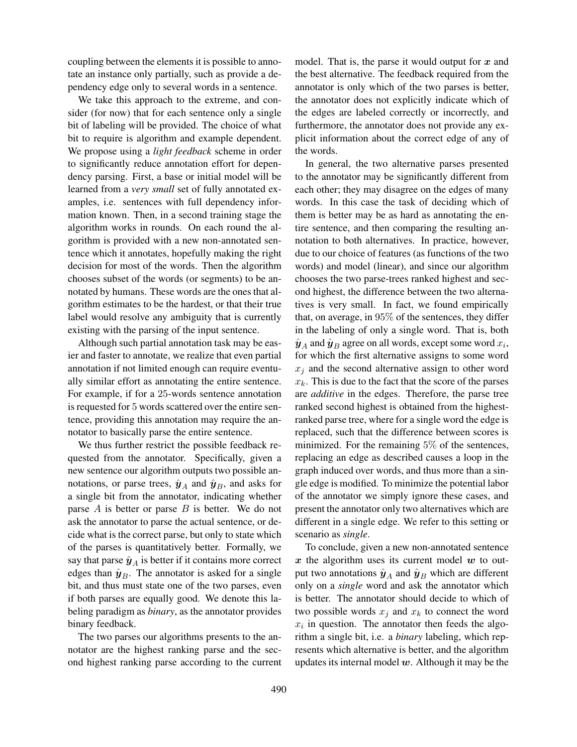coupling between the elements it is possible to annotate an instance only partially, such as provide a dependency edge only to several words in a sentence.

We take this approach to the extreme, and consider (for now) that for each sentence only a single bit of labeling will be provided. The choice of what bit to require is algorithm and example dependent. We propose using a *light feedback* scheme in order to significantly reduce annotation effort for dependency parsing. First, a base or initial model will be learned from a *very small* set of fully annotated examples, i.e. sentences with full dependency information known. Then, in a second training stage the algorithm works in rounds. On each round the algorithm is provided with a new non-annotated sentence which it annotates, hopefully making the right decision for most of the words. Then the algorithm chooses subset of the words (or segments) to be annotated by humans. These words are the ones that algorithm estimates to be the hardest, or that their true label would resolve any ambiguity that is currently existing with the parsing of the input sentence.

Although such partial annotation task may be easier and faster to annotate, we realize that even partial annotation if not limited enough can require eventually similar effort as annotating the entire sentence. For example, if for a 25-words sentence annotation is requested for 5 words scattered over the entire sentence, providing this annotation may require the annotator to basically parse the entire sentence.

We thus further restrict the possible feedback requested from the annotator. Specifically, given a new sentence our algorithm outputs two possible annotations, or parse trees,  $\hat{y}_A$  and  $\hat{y}_B$ , and asks for a single bit from the annotator, indicating whether parse  $A$  is better or parse  $B$  is better. We do not ask the annotator to parse the actual sentence, or decide what is the correct parse, but only to state which of the parses is quantitatively better. Formally, we say that parse  $\hat{y}_A$  is better if it contains more correct edges than  $\hat{\mathbf{y}}_B$ . The annotator is asked for a single bit, and thus must state one of the two parses, even if both parses are equally good. We denote this labeling paradigm as *binary*, as the annotator provides binary feedback.

The two parses our algorithms presents to the annotator are the highest ranking parse and the second highest ranking parse according to the current model. That is, the parse it would output for  $x$  and the best alternative. The feedback required from the annotator is only which of the two parses is better, the annotator does not explicitly indicate which of the edges are labeled correctly or incorrectly, and furthermore, the annotator does not provide any explicit information about the correct edge of any of the words.

In general, the two alternative parses presented to the annotator may be significantly different from each other; they may disagree on the edges of many words. In this case the task of deciding which of them is better may be as hard as annotating the entire sentence, and then comparing the resulting annotation to both alternatives. In practice, however, due to our choice of features (as functions of the two words) and model (linear), and since our algorithm chooses the two parse-trees ranked highest and second highest, the difference between the two alternatives is very small. In fact, we found empirically that, on average, in 95% of the sentences, they differ in the labeling of only a single word. That is, both  $\hat{\bm{y}}_A$  and  $\hat{\bm{y}}_B$  agree on all words, except some word  $x_i,$ for which the first alternative assigns to some word  $x_i$  and the second alternative assign to other word  $x_k$ . This is due to the fact that the score of the parses are *additive* in the edges. Therefore, the parse tree ranked second highest is obtained from the highestranked parse tree, where for a single word the edge is replaced, such that the difference between scores is minimized. For the remaining 5% of the sentences, replacing an edge as described causes a loop in the graph induced over words, and thus more than a single edge is modified. To minimize the potential labor of the annotator we simply ignore these cases, and present the annotator only two alternatives which are different in a single edge. We refer to this setting or scenario as *single*.

To conclude, given a new non-annotated sentence  $x$  the algorithm uses its current model  $w$  to output two annotations  $\hat{\mathbf{y}}_A$  and  $\hat{\mathbf{y}}_B$  which are different only on a *single* word and ask the annotator which is better. The annotator should decide to which of two possible words  $x_j$  and  $x_k$  to connect the word  $x_i$  in question. The annotator then feeds the algorithm a single bit, i.e. a *binary* labeling, which represents which alternative is better, and the algorithm updates its internal model  $w$ . Although it may be the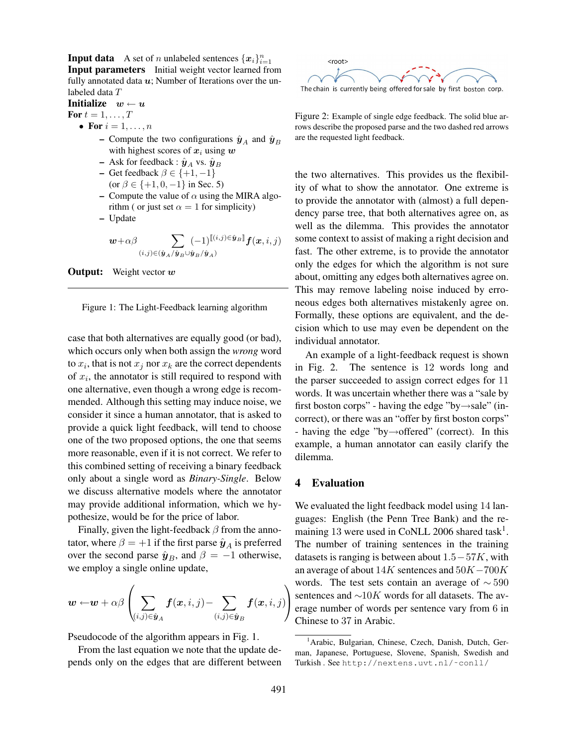**Input data** A set of *n* unlabeled sentences  $\{x_i\}_{i=1}^n$ Input parameters Initial weight vector learned from fully annotated data  $u$ ; Number of Iterations over the unlabeled data T

Initialize  $w \leftarrow u$ 

For  $t = 1, \ldots, T$ 

- For  $i = 1, \ldots, n$ 
	- Compute the two configurations  $\hat{y}_A$  and  $\hat{y}_B$ with highest scores of  $x_i$  using  $w$
	- Ask for feedback :  $\hat{\mathbf{y}}_A$  vs.  $\hat{\mathbf{y}}_B$
	- Get feedback  $\beta \in \{+1, -1\}$ (or  $\beta \in \{+1, 0, -1\}$  in Sec. 5)
	- Compute the value of  $\alpha$  using the MIRA algorithm ( or just set  $\alpha = 1$  for simplicity)
	- Update

w+αβ X (i,j)∈(yˆA/yˆB∪yˆB/yˆA) (−1)[[(i,j)∈yˆB]]f(x, i, j)





case that both alternatives are equally good (or bad), which occurs only when both assign the *wrong* word to  $x_i$ , that is not  $x_j$  nor  $x_k$  are the correct dependents of  $x_i$ , the annotator is still required to respond with one alternative, even though a wrong edge is recommended. Although this setting may induce noise, we consider it since a human annotator, that is asked to provide a quick light feedback, will tend to choose one of the two proposed options, the one that seems more reasonable, even if it is not correct. We refer to this combined setting of receiving a binary feedback only about a single word as *Binary-Single*. Below we discuss alternative models where the annotator may provide additional information, which we hypothesize, would be for the price of labor.

Finally, given the light-feedback  $\beta$  from the annotator, where  $\beta = +1$  if the first parse  $\hat{\mathbf{y}}_A$  is preferred over the second parse  $\hat{\mathbf{y}}_B$ , and  $\beta = -1$  otherwise, we employ a single online update,

$$
\boldsymbol{w} \leftarrow \!\boldsymbol{w} + \alpha \beta \left( \sum_{(i,j) \in \hat{\boldsymbol{y}}_A} \boldsymbol{f}(\boldsymbol{x}, i, j) \!-\! \sum_{(i,j) \in \hat{\boldsymbol{y}}_B} \boldsymbol{f}(\boldsymbol{x}, i, j) \!\right)
$$

Pseudocode of the algorithm appears in Fig. 1.

From the last equation we note that the update depends only on the edges that are different between



Figure 2: Example of single edge feedback. The solid blue arrows describe the proposed parse and the two dashed red arrows are the requested light feedback.

the two alternatives. This provides us the flexibility of what to show the annotator. One extreme is to provide the annotator with (almost) a full dependency parse tree, that both alternatives agree on, as well as the dilemma. This provides the annotator some context to assist of making a right decision and fast. The other extreme, is to provide the annotator only the edges for which the algorithm is not sure about, omitting any edges both alternatives agree on. This may remove labeling noise induced by erroneous edges both alternatives mistakenly agree on. Formally, these options are equivalent, and the decision which to use may even be dependent on the individual annotator.

An example of a light-feedback request is shown in Fig. 2. The sentence is 12 words long and the parser succeeded to assign correct edges for 11 words. It was uncertain whether there was a "sale by first boston corps" - having the edge "by→sale" (incorrect), or there was an "offer by first boston corps" - having the edge "by→offered" (correct). In this example, a human annotator can easily clarify the dilemma.

#### 4 Evaluation

We evaluated the light feedback model using 14 languages: English (the Penn Tree Bank) and the remaining 13 were used in CoNLL 2006 shared task<sup>1</sup>. The number of training sentences in the training datasets is ranging is between about  $1.5-57K$ , with an average of about  $14K$  sentences and  $50K-700K$ words. The test sets contain an average of  $\sim$  590 sentences and  $\sim 10K$  words for all datasets. The average number of words per sentence vary from 6 in Chinese to 37 in Arabic.

<sup>&</sup>lt;sup>1</sup> Arabic, Bulgarian, Chinese, Czech, Danish, Dutch, German, Japanese, Portuguese, Slovene, Spanish, Swedish and Turkish . See http://nextens.uvt.nl/˜conll/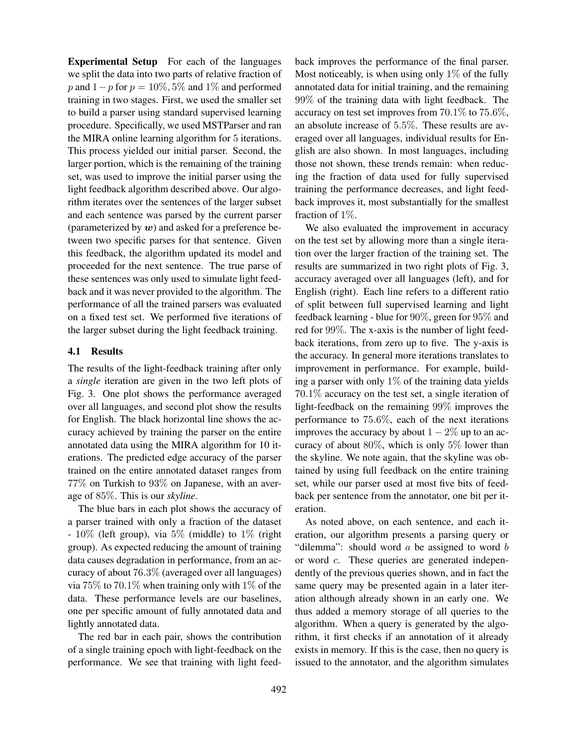Experimental Setup For each of the languages we split the data into two parts of relative fraction of p and  $1-p$  for  $p = 10\%, 5\%$  and  $1\%$  and performed training in two stages. First, we used the smaller set to build a parser using standard supervised learning procedure. Specifically, we used MSTParser and ran the MIRA online learning algorithm for 5 iterations. This process yielded our initial parser. Second, the larger portion, which is the remaining of the training set, was used to improve the initial parser using the light feedback algorithm described above. Our algorithm iterates over the sentences of the larger subset and each sentence was parsed by the current parser (parameterized by  $w$ ) and asked for a preference between two specific parses for that sentence. Given this feedback, the algorithm updated its model and proceeded for the next sentence. The true parse of these sentences was only used to simulate light feedback and it was never provided to the algorithm. The performance of all the trained parsers was evaluated on a fixed test set. We performed five iterations of the larger subset during the light feedback training.

#### 4.1 Results

The results of the light-feedback training after only a *single* iteration are given in the two left plots of Fig. 3. One plot shows the performance averaged over all languages, and second plot show the results for English. The black horizontal line shows the accuracy achieved by training the parser on the entire annotated data using the MIRA algorithm for 10 iterations. The predicted edge accuracy of the parser trained on the entire annotated dataset ranges from 77% on Turkish to 93% on Japanese, with an average of 85%. This is our *skyline*.

The blue bars in each plot shows the accuracy of a parser trained with only a fraction of the dataset  $-10\%$  (left group), via 5% (middle) to 1% (right group). As expected reducing the amount of training data causes degradation in performance, from an accuracy of about 76.3% (averaged over all languages) via 75% to 70.1% when training only with 1% of the data. These performance levels are our baselines, one per specific amount of fully annotated data and lightly annotated data.

The red bar in each pair, shows the contribution of a single training epoch with light-feedback on the performance. We see that training with light feedback improves the performance of the final parser. Most noticeably, is when using only  $1\%$  of the fully annotated data for initial training, and the remaining 99% of the training data with light feedback. The accuracy on test set improves from 70.1% to 75.6%, an absolute increase of 5.5%. These results are averaged over all languages, individual results for English are also shown. In most languages, including those not shown, these trends remain: when reducing the fraction of data used for fully supervised training the performance decreases, and light feedback improves it, most substantially for the smallest fraction of 1%.

We also evaluated the improvement in accuracy on the test set by allowing more than a single iteration over the larger fraction of the training set. The results are summarized in two right plots of Fig. 3, accuracy averaged over all languages (left), and for English (right). Each line refers to a different ratio of split between full supervised learning and light feedback learning - blue for 90%, green for 95% and red for 99%. The x-axis is the number of light feedback iterations, from zero up to five. The y-axis is the accuracy. In general more iterations translates to improvement in performance. For example, building a parser with only  $1\%$  of the training data yields 70.1% accuracy on the test set, a single iteration of light-feedback on the remaining 99% improves the performance to 75.6%, each of the next iterations improves the accuracy by about  $1 - 2\%$  up to an accuracy of about 80%, which is only 5% lower than the skyline. We note again, that the skyline was obtained by using full feedback on the entire training set, while our parser used at most five bits of feedback per sentence from the annotator, one bit per iteration.

As noted above, on each sentence, and each iteration, our algorithm presents a parsing query or "dilemma": should word  $a$  be assigned to word  $b$ or word c. These queries are generated independently of the previous queries shown, and in fact the same query may be presented again in a later iteration although already shown in an early one. We thus added a memory storage of all queries to the algorithm. When a query is generated by the algorithm, it first checks if an annotation of it already exists in memory. If this is the case, then no query is issued to the annotator, and the algorithm simulates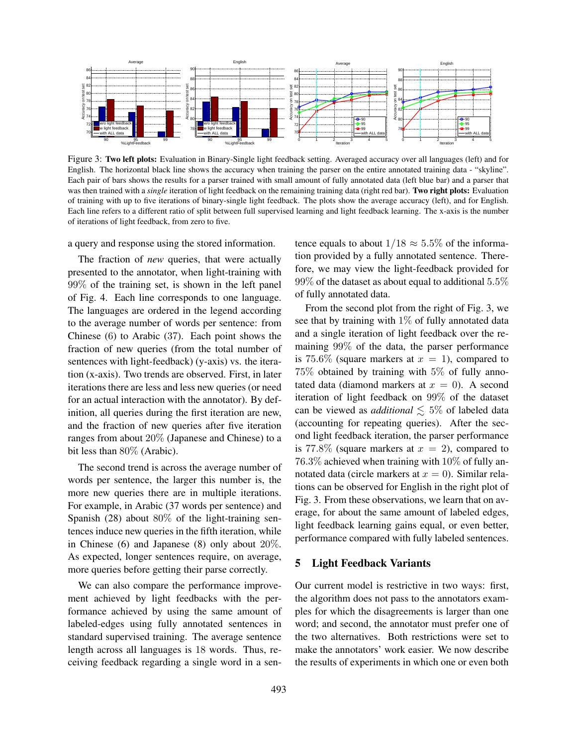

Figure 3: Two left plots: Evaluation in Binary-Single light feedback setting. Averaged accuracy over all languages (left) and for English. The horizontal black line shows the accuracy when training the parser on the entire annotated training data - "skyline". Each pair of bars shows the results for a parser trained with small amount of fully annotated data (left blue bar) and a parser that was then trained with a *single* iteration of light feedback on the remaining training data (right red bar). Two right plots: Evaluation of training with up to five iterations of binary-single light feedback. The plots show the average accuracy (left), and for English. Each line refers to a different ratio of split between full supervised learning and light feedback learning. The x-axis is the number of iterations of light feedback, from zero to five.

a query and response using the stored information.

The fraction of *new* queries, that were actually presented to the annotator, when light-training with 99% of the training set, is shown in the left panel of Fig. 4. Each line corresponds to one language. The languages are ordered in the legend according to the average number of words per sentence: from Chinese (6) to Arabic (37). Each point shows the fraction of new queries (from the total number of sentences with light-feedback) (y-axis) vs. the iteration (x-axis). Two trends are observed. First, in later iterations there are less and less new queries (or need for an actual interaction with the annotator). By definition, all queries during the first iteration are new, and the fraction of new queries after five iteration ranges from about 20% (Japanese and Chinese) to a bit less than 80% (Arabic).

The second trend is across the average number of words per sentence, the larger this number is, the more new queries there are in multiple iterations. For example, in Arabic (37 words per sentence) and Spanish (28) about 80% of the light-training sentences induce new queries in the fifth iteration, while in Chinese (6) and Japanese (8) only about 20%. As expected, longer sentences require, on average, more queries before getting their parse correctly.

We can also compare the performance improvement achieved by light feedbacks with the performance achieved by using the same amount of labeled-edges using fully annotated sentences in standard supervised training. The average sentence length across all languages is 18 words. Thus, receiving feedback regarding a single word in a sentence equals to about  $1/18 \approx 5.5\%$  of the information provided by a fully annotated sentence. Therefore, we may view the light-feedback provided for 99% of the dataset as about equal to additional 5.5% of fully annotated data.

From the second plot from the right of Fig. 3, we see that by training with  $1\%$  of fully annotated data and a single iteration of light feedback over the remaining 99% of the data, the parser performance is 75.6% (square markers at  $x = 1$ ), compared to 75% obtained by training with 5% of fully annotated data (diamond markers at  $x = 0$ ). A second iteration of light feedback on 99% of the dataset can be viewed as *additional*  $\leq 5\%$  of labeled data (accounting for repeating queries). After the second light feedback iteration, the parser performance is 77.8% (square markers at  $x = 2$ ), compared to 76.3% achieved when training with 10% of fully annotated data (circle markers at  $x = 0$ ). Similar relations can be observed for English in the right plot of Fig. 3. From these observations, we learn that on average, for about the same amount of labeled edges, light feedback learning gains equal, or even better, performance compared with fully labeled sentences.

#### 5 Light Feedback Variants

Our current model is restrictive in two ways: first, the algorithm does not pass to the annotators examples for which the disagreements is larger than one word; and second, the annotator must prefer one of the two alternatives. Both restrictions were set to make the annotators' work easier. We now describe the results of experiments in which one or even both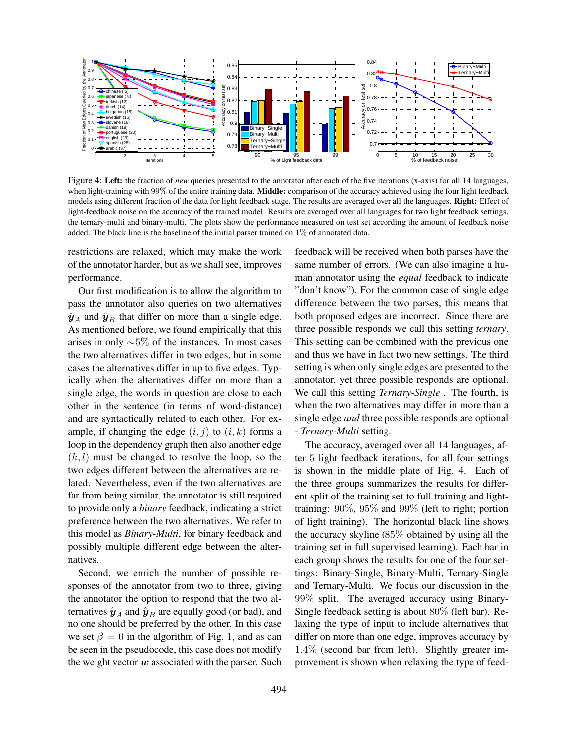

Figure 4: Left: the fraction of *new* queries presented to the annotator after each of the five iterations (x-axis) for all 14 languages, when light-training with 99% of the entire training data. Middle: comparison of the accuracy achieved using the four light feedback models using different fraction of the data for light feedback stage. The results are averaged over all the languages. Right: Effect of light-feedback noise on the accuracy of the trained model. Results are averaged over all languages for two light feedback settings, the ternary-multi and binary-multi. The plots show the performance measured on test set according the amount of feedback noise added. The black line is the baseline of the initial parser trained on 1% of annotated data.

restrictions are relaxed, which may make the work of the annotator harder, but as we shall see, improves performance.

Our first modification is to allow the algorithm to pass the annotator also queries on two alternatives  $\hat{\mathbf{y}}_A$  and  $\hat{\mathbf{y}}_B$  that differ on more than a single edge. As mentioned before, we found empirically that this arises in only ∼5% of the instances. In most cases the two alternatives differ in two edges, but in some cases the alternatives differ in up to five edges. Typically when the alternatives differ on more than a single edge, the words in question are close to each other in the sentence (in terms of word-distance) and are syntactically related to each other. For example, if changing the edge  $(i, j)$  to  $(i, k)$  forms a loop in the dependency graph then also another edge  $(k, l)$  must be changed to resolve the loop, so the two edges different between the alternatives are related. Nevertheless, even if the two alternatives are far from being similar, the annotator is still required to provide only a *binary* feedback, indicating a strict preference between the two alternatives. We refer to this model as *Binary-Multi*, for binary feedback and possibly multiple different edge between the alternatives.

Second, we enrich the number of possible responses of the annotator from two to three, giving the annotator the option to respond that the two alternatives  $\hat{\mathbf{y}}_A$  and  $\hat{\mathbf{y}}_B$  are equally good (or bad), and no one should be preferred by the other. In this case we set  $\beta = 0$  in the algorithm of Fig. 1, and as can be seen in the pseudocode, this case does not modify the weight vector  $w$  associated with the parser. Such feedback will be received when both parses have the same number of errors. (We can also imagine a human annotator using the *equal* feedback to indicate "don't know"). For the common case of single edge difference between the two parses, this means that both proposed edges are incorrect. Since there are three possible responds we call this setting *ternary*. This setting can be combined with the previous one and thus we have in fact two new settings. The third setting is when only single edges are presented to the annotator, yet three possible responds are optional. We call this setting *Ternary-Single* . The fourth, is when the two alternatives may differ in more than a single edge *and* three possible responds are optional - *Ternary-Multi* setting.

The accuracy, averaged over all 14 languages, after 5 light feedback iterations, for all four settings is shown in the middle plate of Fig. 4. Each of the three groups summarizes the results for different split of the training set to full training and lighttraining: 90%, 95% and 99% (left to right; portion of light training). The horizontal black line shows the accuracy skyline (85% obtained by using all the training set in full supervised learning). Each bar in each group shows the results for one of the four settings: Binary-Single, Binary-Multi, Ternary-Single and Ternary-Multi. We focus our discussion in the 99% split. The averaged accuracy using Binary-Single feedback setting is about 80% (left bar). Relaxing the type of input to include alternatives that differ on more than one edge, improves accuracy by 1.4% (second bar from left). Slightly greater improvement is shown when relaxing the type of feed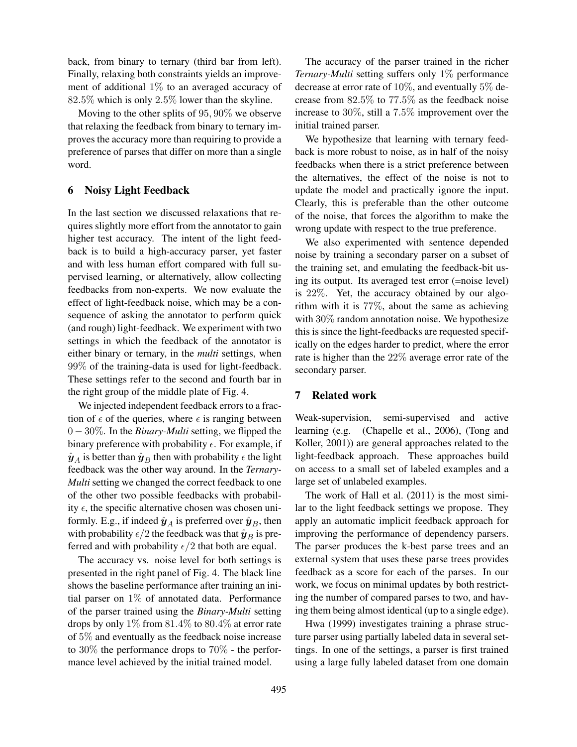back, from binary to ternary (third bar from left). Finally, relaxing both constraints yields an improvement of additional 1% to an averaged accuracy of 82.5% which is only 2.5% lower than the skyline.

Moving to the other splits of 95, 90% we observe that relaxing the feedback from binary to ternary improves the accuracy more than requiring to provide a preference of parses that differ on more than a single word.

## 6 Noisy Light Feedback

In the last section we discussed relaxations that requires slightly more effort from the annotator to gain higher test accuracy. The intent of the light feedback is to build a high-accuracy parser, yet faster and with less human effort compared with full supervised learning, or alternatively, allow collecting feedbacks from non-experts. We now evaluate the effect of light-feedback noise, which may be a consequence of asking the annotator to perform quick (and rough) light-feedback. We experiment with two settings in which the feedback of the annotator is either binary or ternary, in the *multi* settings, when 99% of the training-data is used for light-feedback. These settings refer to the second and fourth bar in the right group of the middle plate of Fig. 4.

We injected independent feedback errors to a fraction of  $\epsilon$  of the queries, where  $\epsilon$  is ranging between 0 − 30%. In the *Binary-Multi* setting, we flipped the binary preference with probability  $\epsilon$ . For example, if  $\hat{\mathbf{y}}_A$  is better than  $\hat{\mathbf{y}}_B$  then with probability  $\epsilon$  the light feedback was the other way around. In the *Ternary-Multi* setting we changed the correct feedback to one of the other two possible feedbacks with probability  $\epsilon$ , the specific alternative chosen was chosen uniformly. E.g., if indeed  $\hat{\mathbf{y}}_A$  is preferred over  $\hat{\mathbf{y}}_B$ , then with probability  $\epsilon/2$  the feedback was that  $\hat{\mathbf{y}}_B$  is preferred and with probability  $\epsilon/2$  that both are equal.

The accuracy vs. noise level for both settings is presented in the right panel of Fig. 4. The black line shows the baseline performance after training an initial parser on 1% of annotated data. Performance of the parser trained using the *Binary-Multi* setting drops by only  $1\%$  from  $81.4\%$  to  $80.4\%$  at error rate of 5% and eventually as the feedback noise increase to 30% the performance drops to 70% - the performance level achieved by the initial trained model.

The accuracy of the parser trained in the richer *Ternary-Multi* setting suffers only 1% performance decrease at error rate of 10%, and eventually 5% decrease from 82.5% to 77.5% as the feedback noise increase to 30%, still a 7.5% improvement over the initial trained parser.

We hypothesize that learning with ternary feedback is more robust to noise, as in half of the noisy feedbacks when there is a strict preference between the alternatives, the effect of the noise is not to update the model and practically ignore the input. Clearly, this is preferable than the other outcome of the noise, that forces the algorithm to make the wrong update with respect to the true preference.

We also experimented with sentence depended noise by training a secondary parser on a subset of the training set, and emulating the feedback-bit using its output. Its averaged test error (=noise level) is 22%. Yet, the accuracy obtained by our algorithm with it is 77%, about the same as achieving with 30% random annotation noise. We hypothesize this is since the light-feedbacks are requested specifically on the edges harder to predict, where the error rate is higher than the 22% average error rate of the secondary parser.

#### 7 Related work

Weak-supervision, semi-supervised and active learning (e.g. (Chapelle et al., 2006), (Tong and Koller, 2001)) are general approaches related to the light-feedback approach. These approaches build on access to a small set of labeled examples and a large set of unlabeled examples.

The work of Hall et al. (2011) is the most similar to the light feedback settings we propose. They apply an automatic implicit feedback approach for improving the performance of dependency parsers. The parser produces the k-best parse trees and an external system that uses these parse trees provides feedback as a score for each of the parses. In our work, we focus on minimal updates by both restricting the number of compared parses to two, and having them being almost identical (up to a single edge).

Hwa (1999) investigates training a phrase structure parser using partially labeled data in several settings. In one of the settings, a parser is first trained using a large fully labeled dataset from one domain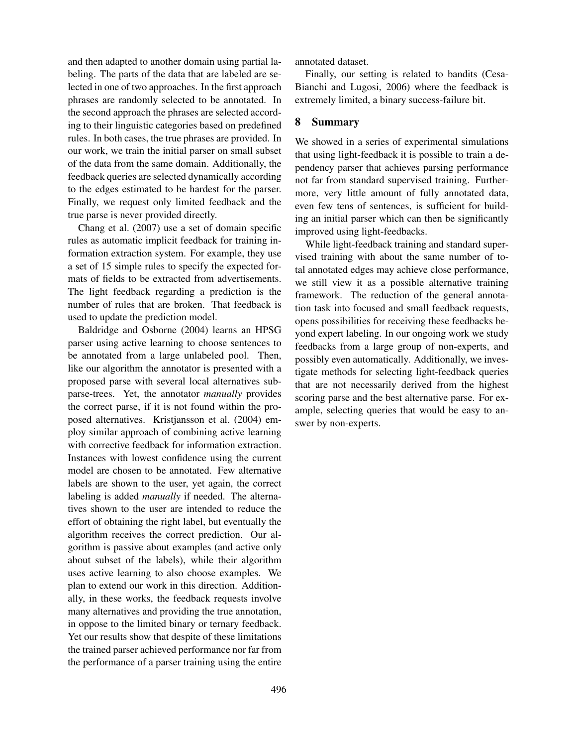and then adapted to another domain using partial labeling. The parts of the data that are labeled are selected in one of two approaches. In the first approach phrases are randomly selected to be annotated. In the second approach the phrases are selected according to their linguistic categories based on predefined rules. In both cases, the true phrases are provided. In our work, we train the initial parser on small subset of the data from the same domain. Additionally, the feedback queries are selected dynamically according to the edges estimated to be hardest for the parser. Finally, we request only limited feedback and the true parse is never provided directly.

Chang et al. (2007) use a set of domain specific rules as automatic implicit feedback for training information extraction system. For example, they use a set of 15 simple rules to specify the expected formats of fields to be extracted from advertisements. The light feedback regarding a prediction is the number of rules that are broken. That feedback is used to update the prediction model.

Baldridge and Osborne (2004) learns an HPSG parser using active learning to choose sentences to be annotated from a large unlabeled pool. Then, like our algorithm the annotator is presented with a proposed parse with several local alternatives subparse-trees. Yet, the annotator *manually* provides the correct parse, if it is not found within the proposed alternatives. Kristjansson et al. (2004) employ similar approach of combining active learning with corrective feedback for information extraction. Instances with lowest confidence using the current model are chosen to be annotated. Few alternative labels are shown to the user, yet again, the correct labeling is added *manually* if needed. The alternatives shown to the user are intended to reduce the effort of obtaining the right label, but eventually the algorithm receives the correct prediction. Our algorithm is passive about examples (and active only about subset of the labels), while their algorithm uses active learning to also choose examples. We plan to extend our work in this direction. Additionally, in these works, the feedback requests involve many alternatives and providing the true annotation, in oppose to the limited binary or ternary feedback. Yet our results show that despite of these limitations the trained parser achieved performance nor far from the performance of a parser training using the entire annotated dataset.

Finally, our setting is related to bandits (Cesa-Bianchi and Lugosi, 2006) where the feedback is extremely limited, a binary success-failure bit.

## 8 Summary

We showed in a series of experimental simulations that using light-feedback it is possible to train a dependency parser that achieves parsing performance not far from standard supervised training. Furthermore, very little amount of fully annotated data, even few tens of sentences, is sufficient for building an initial parser which can then be significantly improved using light-feedbacks.

While light-feedback training and standard supervised training with about the same number of total annotated edges may achieve close performance, we still view it as a possible alternative training framework. The reduction of the general annotation task into focused and small feedback requests, opens possibilities for receiving these feedbacks beyond expert labeling. In our ongoing work we study feedbacks from a large group of non-experts, and possibly even automatically. Additionally, we investigate methods for selecting light-feedback queries that are not necessarily derived from the highest scoring parse and the best alternative parse. For example, selecting queries that would be easy to answer by non-experts.